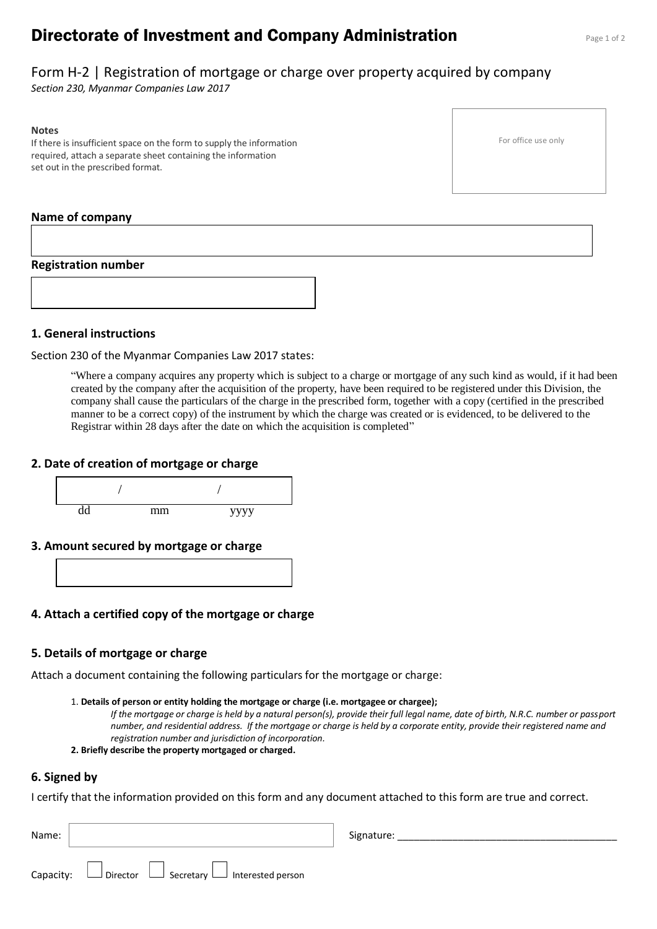# **Directorate of Investment and Company Administration** Page 1 of 2

For office use only

# Form H-2 | Registration of mortgage or charge over property acquired by company

*Section 230, Myanmar Companies Law 2017*

#### **Notes**

If there is insufficient space on the form to supply the information required, attach a separate sheet containing the information set out in the prescribed format.

#### **Name of company**

#### **Registration number**

#### **1. General instructions**

Section 230 of the Myanmar Companies Law 2017 states:

"Where a company acquires any property which is subject to a charge or mortgage of any such kind as would, if it had been created by the company after the acquisition of the property, have been required to be registered under this Division, the company shall cause the particulars of the charge in the prescribed form, together with a copy (certified in the prescribed manner to be a correct copy) of the instrument by which the charge was created or is evidenced, to be delivered to the Registrar within 28 days after the date on which the acquisition is completed"

#### **2. Date of creation of mortgage or charge**



**3. Amount secured by mortgage or charge**



### **4. Attach a certified copy of the mortgage or charge**

#### **5. Details of mortgage or charge**

Attach a document containing the following particulars for the mortgage or charge:

#### 1. **Details of person or entity holding the mortgage or charge (i.e. mortgagee or chargee);**

*If the mortgage or charge is held by a natural person(s), provide their full legal name, date of birth, N.R.C. number or passport number, and residential address. If the mortgage or charge is held by a corporate entity, provide their registered name and registration number and jurisdiction of incorporation.*

#### **2. Briefly describe the property mortgaged or charged.**

#### **6. Signed by**

I certify that the information provided on this form and any document attached to this form are true and correct.

| Name:     |                                                                     | Signature: |
|-----------|---------------------------------------------------------------------|------------|
| Capacity: | $\Box$ Secretary $\Box$ Interested person<br>$\Box$ Director $\Box$ |            |